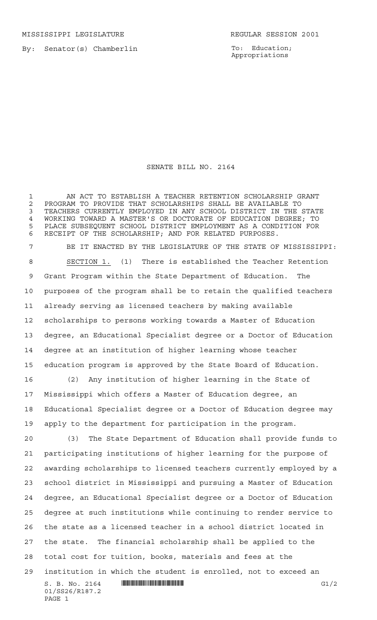MISSISSIPPI LEGISLATURE **REGULAR SESSION 2001** 

PAGE 1

By: Senator(s) Chamberlin

To: Education; Appropriations

## SENATE BILL NO. 2164

 AN ACT TO ESTABLISH A TEACHER RETENTION SCHOLARSHIP GRANT 2 PROGRAM TO PROVIDE THAT SCHOLARSHIPS SHALL BE AVAILABLE TO<br>3 TEACHERS CURRENTLY EMPLOYED IN ANY SCHOOL DISTRICT IN THE : TEACHERS CURRENTLY EMPLOYED IN ANY SCHOOL DISTRICT IN THE STATE 4 WORKING TOWARD A MASTER'S OR DOCTORATE OF EDUCATION DEGREE; TO<br>5 PLACE SUBSEQUENT SCHOOL DISTRICT EMPLOYMENT AS A CONDITION FOR PLACE SUBSEQUENT SCHOOL DISTRICT EMPLOYMENT AS A CONDITION FOR RECEIPT OF THE SCHOLARSHIP; AND FOR RELATED PURPOSES.

 BE IT ENACTED BY THE LEGISLATURE OF THE STATE OF MISSISSIPPI: SECTION 1. (1) There is established the Teacher Retention Grant Program within the State Department of Education. The purposes of the program shall be to retain the qualified teachers already serving as licensed teachers by making available scholarships to persons working towards a Master of Education degree, an Educational Specialist degree or a Doctor of Education degree at an institution of higher learning whose teacher education program is approved by the State Board of Education.

 (2) Any institution of higher learning in the State of Mississippi which offers a Master of Education degree, an Educational Specialist degree or a Doctor of Education degree may apply to the department for participation in the program.

 $S. B. No. 2164$  .  $\blacksquare$   $\blacksquare$   $\blacksquare$   $\blacksquare$   $\blacksquare$   $\blacksquare$   $\blacksquare$   $\blacksquare$   $\blacksquare$   $\blacksquare$   $\blacksquare$   $\blacksquare$   $\blacksquare$   $\blacksquare$   $\blacksquare$   $\blacksquare$   $\blacksquare$   $\blacksquare$   $\blacksquare$   $\blacksquare$   $\blacksquare$   $\blacksquare$   $\blacksquare$   $\blacksquare$   $\blacksquare$   $\blacksquare$   $\blacksquare$   $\blacksquare$   $\blacksquare$   $\$ 01/SS26/R187.2 (3) The State Department of Education shall provide funds to participating institutions of higher learning for the purpose of awarding scholarships to licensed teachers currently employed by a school district in Mississippi and pursuing a Master of Education degree, an Educational Specialist degree or a Doctor of Education degree at such institutions while continuing to render service to the state as a licensed teacher in a school district located in the state. The financial scholarship shall be applied to the total cost for tuition, books, materials and fees at the institution in which the student is enrolled, not to exceed an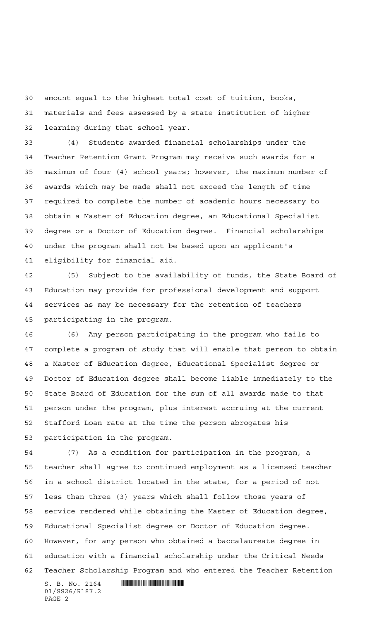amount equal to the highest total cost of tuition, books, materials and fees assessed by a state institution of higher learning during that school year.

 (4) Students awarded financial scholarships under the Teacher Retention Grant Program may receive such awards for a maximum of four (4) school years; however, the maximum number of awards which may be made shall not exceed the length of time required to complete the number of academic hours necessary to obtain a Master of Education degree, an Educational Specialist degree or a Doctor of Education degree. Financial scholarships under the program shall not be based upon an applicant's eligibility for financial aid.

 (5) Subject to the availability of funds, the State Board of Education may provide for professional development and support services as may be necessary for the retention of teachers participating in the program.

 (6) Any person participating in the program who fails to complete a program of study that will enable that person to obtain a Master of Education degree, Educational Specialist degree or Doctor of Education degree shall become liable immediately to the State Board of Education for the sum of all awards made to that person under the program, plus interest accruing at the current Stafford Loan rate at the time the person abrogates his participation in the program.

 (7) As a condition for participation in the program, a teacher shall agree to continued employment as a licensed teacher in a school district located in the state, for a period of not less than three (3) years which shall follow those years of service rendered while obtaining the Master of Education degree, Educational Specialist degree or Doctor of Education degree. However, for any person who obtained a baccalaureate degree in education with a financial scholarship under the Critical Needs Teacher Scholarship Program and who entered the Teacher Retention

 $S. B. No. 2164$  . The set of the set of  $R$ 01/SS26/R187.2 PAGE 2